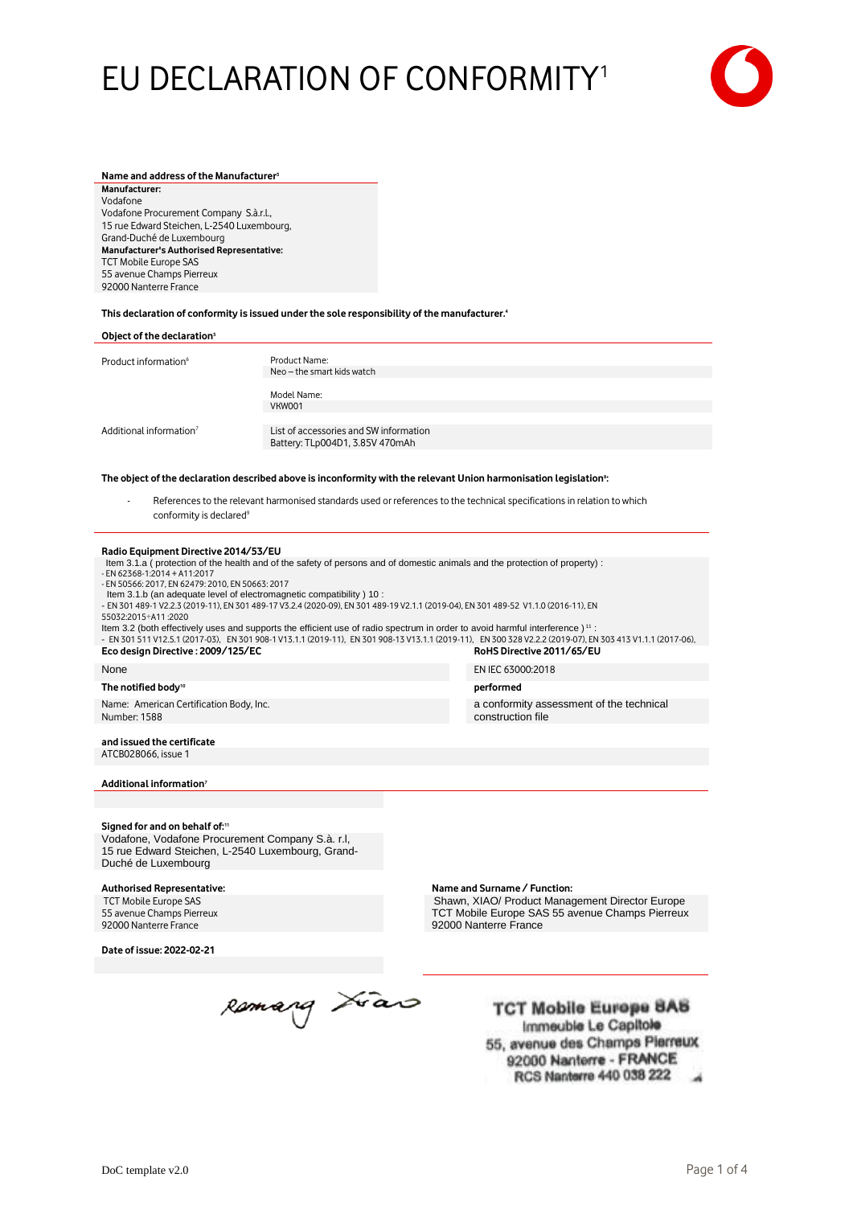# EU DECLARATION OF CONFORMITY<sup>1</sup>



#### **Name and address of the Manufacturer<sup>3</sup> Manufacturer:** Vodafone Vodafone Procurement Company S.à.r.l., 15 rue Edward Steichen, L-2540 Luxembourg, Grand-Duché de Luxembourg **Manufacturer's Authorised Representative:** TCT Mobile Europe SAS 55 avenue Champs Pierreux 92000 Nanterre France

**This declaration of conformity is issued under the sole responsibility of the manufacturer. 4**

| Object of the declaration <sup>5</sup>                                                                                         |                                             |
|--------------------------------------------------------------------------------------------------------------------------------|---------------------------------------------|
| Product information <sup>6</sup>                                                                                               | Product Name:<br>Neo – the smart kids watch |
|                                                                                                                                | Model Name:<br>VKW001                       |
| Additional information <sup>7</sup>                                                                                            | List of accessories and SW information      |
|                                                                                                                                | Battery: TLp004D1, 3.85V 470mAh             |
| The object of the declaration described above is inconformity with the relevant Union harmonisation legislation <sup>8</sup> : |                                             |

References to the relevant harmonised standards used or references to the technical specifications in relation to which conformity is declared<sup>9</sup>

**Radio Equipment Directive 2014/53/EU**

Item 3.1.a ( protection of the health and of the safety of persons and of domestic animals and the protection of property) :

# - EN 62368-1:2014 + A11:2017

- EN 50566: 2017, EN 62479: 2010, EN 50663: 2017

Item 3.1.b (an adequate level of electromagnetic compatibility ) 10 :

- EN 301 489-1 V2.2.3 (2019-11), EN 301 489-17 V3.2.4 (2020-09), EN 301 489-19 V2.1.1 (2019-04), EN 301 489-52 V1.1.0 (2016-11), EN 55032:2015+A11 :2020

Item 3.2 (both effectively uses and supports the efficient use of radio spectrum in order to avoid harmful interference )<sup>11</sup> - EN 301 511 V12.5.1 (2017-03), EN 301 908-1 V13.1.1 (2019-11), EN 301 908-13 V13.1.1 (2019-11), EN 300 328 V2.2.2 (2019-07), EN 303 413 V1.1.1 (2017-06),<br>ECO design Directive : 2009/125/EC

# $Eco$  design Directive : 2009/125/EC

# **The notified body<sup>10</sup>**

Name: American Certification Body, Inc. Number: 1588

None EN IEC 63000:2018

 **performed**

a conformity assessment of the technical construction file

**and issued the certificate** ATCB028066, issue 1

## **Additional information<sup>7</sup>**

## **Signed for and on behalf of:<sup>11</sup>**

Vodafone, Vodafone Procurement Company S.à. r.l, 15 rue Edward Steichen, L-2540 Luxembourg, Grand-Duché de Luxembourg

# TCT Mobile Europe SAS

55 avenue Champs Pierreux 92000 Nanterre France

**Date of issue: 2022-02-21**

Remarq Juan

**Authorised Representative: Name and Surname / Function:** Shawn, XIAO/ Product Management Director Europe TCT Mobile Europe SAS 55 avenue Champs Pierreux 92000 Nanterre France

> **TCT Mobile Europe SAS** Immeuble Le Capitole 55, avenue des Champs Pierreux 92000 Nanterre - FRANCE **RCS Nanterre 440 038 222**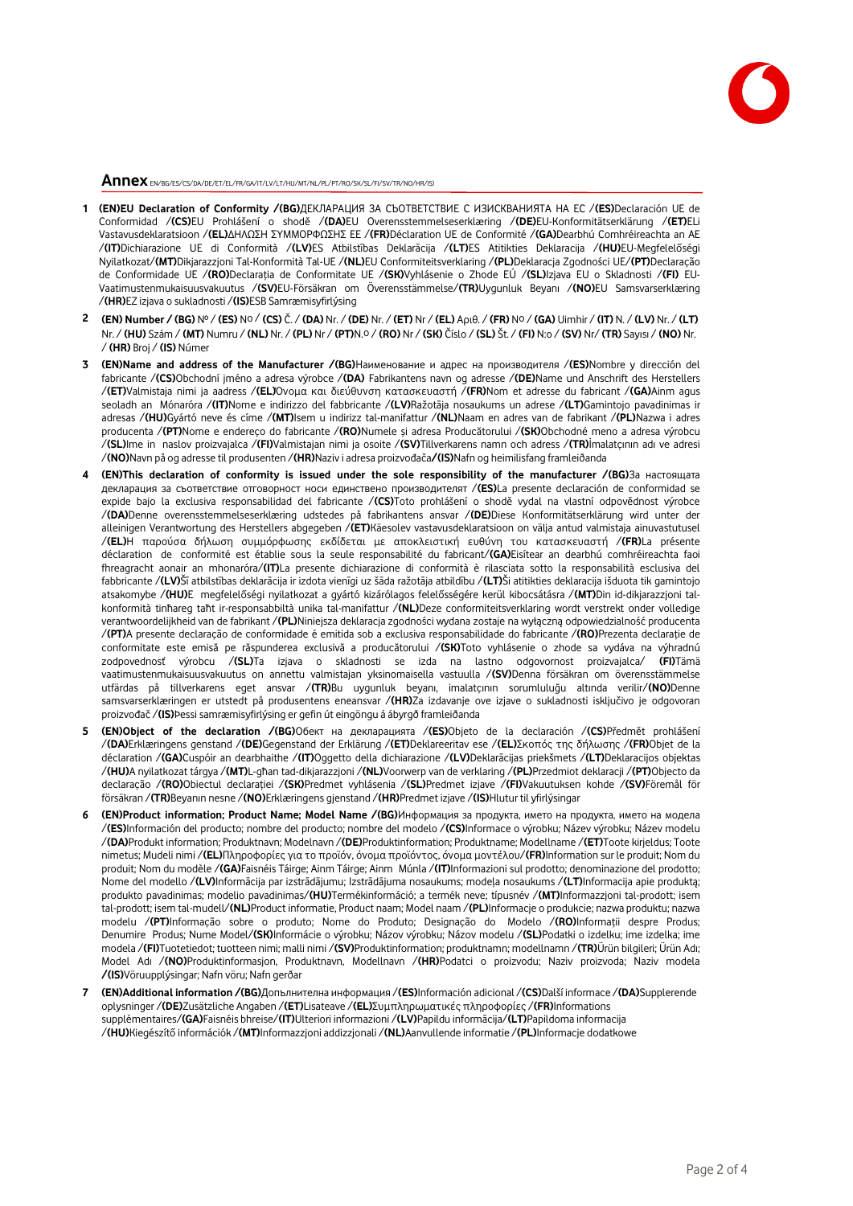

**Annex** EN/BG/ES/CS/DA/DE/ET/EL/FR/GA/IT/LV/LT/HU/MT/NL/PL/PT/RO/SK/SL/FI/SV/TR/NO/HR/IS)

- **1 (EN)EU Declaration of Conformity /(BG)**ДЕКЛАРАЦИЯ ЗА СЪОТВЕТСТВИЕ С ИЗИСКВАНИЯТА НА ЕС /**(ES)**Declaración UE de Conformidad /**(CS)**EU Prohlášení o shodě /**(DA)**EU Overensstemmelseserklæring /**(DE)**EU-Konformitätserklärung /**(ET)**ELi Vastavusdeklaratsioon /**(EL)**ΔΗΛΩΣΗ ΣΥΜΜΟΡΦΩΣΗΣ ΕΕ /**(FR)**Déclaration UE de Conformité /**(GA)**Dearbhú Comhréireachta an AE /**(IT)**Dichiarazione UE di Conformità /**(LV)**ES Atbilstības Deklarācija /**(LT)**ES Atitikties Deklaracija /**(HU)**EU-Megfelelőségi Nyilatkozat/**(MT)**Dikjarazzjoni Tal-Konformità Tal-UE /**(NL)**EU Conformiteitsverklaring /**(PL)**Deklaracja Zgodności UE/**(PT)**Declaração de Conformidade UE /**(RO)**Declarația de Conformitate UE /**(SK)**Vyhlásenie o Zhode EÚ /**(SL)**Izjava EU o Skladnosti /**(FI)** EU-Vaatimustenmukaisuusvakuutus /**(SV)**EU-Försäkran om Överensstämmelse/**(TR)**Uygunluk Beyanı /**(NO)**EU Samsvarserklæring /**(HR)**EZ izjava o sukladnosti /**(IS)**ESB Samræmisyfirlýsing
- 2 (EN) Number / (BG) Nº / (ES) Nº / (CS) Č. / (DA) Nr. / (DE) Nr. / (ET) Nr / (EL) Apuθ. / (FR) Nº / (GA) Uimhir / (IT) N. / (LV) Nr. / (LT) Nr. / **(HU)** Szám / **(MT)** Numru / **(NL)** Nr. / **(PL)** Nr / **(PT)**N.o / **(RO)** Nr / **(SK)** Číslo / **(SL)** Št. / **(FI)** N:o / **(SV)** Nr/ **(TR)** Sayısı / **(NO)** Nr. / **(HR)** Broj / **(IS)** Númer
- **3 (EN)Name and address of the Manufacturer /(BG)**Наименование и адрес на производителя /**(ES)**Nombre y dirección del fabricante /**(CS)**Obchodní jméno a adresa výrobce /**(DA)** Fabrikantens navn og adresse /**(DE)**Name und Anschrift des Herstellers /**(ET)**Valmistaja nimi ja aadress /**(EL)**Όνομα και διεύθυνση κατασκευαστή /**(FR)**Nom et adresse du fabricant /**(GA)**Ainm agus seoladh an Mónaróra /**(IT)**Nome e indirizzo del fabbricante /**(LV)**Ražotāja nosaukums un adrese /**(LT)**Gamintojo pavadinimas ir adresas /**(HU)**Gyártó neve és címe /**(MT)**Isem u indirizz tal-manifattur /**(NL)**Naam en adres van de fabrikant /**(PL)**Nazwa i adres producenta /**(PT)**Nome e endereço do fabricante /**(RO)**Numele și adresa Producătorului /**(SK)**Obchodné meno a adresa výrobcu /**(SL)**Ime in naslov proizvajalca /**(FI)**Valmistajan nimi ja osoite /**(SV)**Tillverkarens namn och adress /**(TR)**İmalatçının adı ve adresi /**(NO)**Navn på og adresse til produsenten /**(HR)**Naziv i adresa proizvođača**/(IS)**Nafn og heimilisfang framleiðanda
- **4 (EN)This declaration of conformity is issued under the sole responsibility of the manufacturer /(BG)**За настоящата декларация за съответствие отговорност носи единствено производителят /**(ES)**La presente declaración de conformidad se expide bajo la exclusiva responsabilidad del fabricante /**(CS)**Toto prohlášení o shodě vydal na vlastní odpovědnost výrobce /**(DA)**Denne overensstemmelseserklæring udstedes på fabrikantens ansvar /**(DE)**Diese Konformitätserklärung wird unter der alleinigen Verantwortung des Herstellers abgegeben /**(ET)**Käesolev vastavusdeklaratsioon on välja antud valmistaja ainuvastutusel /**(EL)**Η παρούσα δήλωση συμμόρφωσης εκδίδεται με αποκλειστική ευθύνη του κατασκευαστή /**(FR)**La présente déclaration de conformité est établie sous la seule responsabilité du fabricant/**(GA)**Eisítear an dearbhú comhréireachta faoi fhreagracht aonair an mhonaróra/**(IT)**La presente dichiarazione di conformità è rilasciata sotto la responsabilità esclusiva del fabbricante /**(LV)**Šī atbilstības deklarācija ir izdota vienīgi uz šāda ražotāja atbildību /**(LT)**Ši atitikties deklaracija išduota tik gamintojo atsakomybe /**(HU)**E megfelelőségi nyilatkozat a gyártó kizárólagos felelősségére kerül kibocsátásra /**(MT)**Din id-dikjarazzjoni talkonformità tinħareg taħt ir-responsabbiltà unika tal-manifattur /**(NL)**Deze conformiteitsverklaring wordt verstrekt onder volledige verantwoordelijkheid van de fabrikant /**(PL)**Niniejsza deklaracja zgodności wydana zostaje na wyłączną odpowiedzialność producenta /**(PT)**A presente declaração de conformidade é emitida sob a exclusiva responsabilidade do fabricante /**(RO)**Prezenta declarație de conformitate este emisă pe răspunderea exclusivă a producătorului /**(SK)**Toto vyhlásenie o zhode sa vydáva na výhradnú zodpovednosť výrobcu /**(SL)**Ta izjava o skladnosti se izda na lastno odgovornost proizvajalca/ **(FI)**Tämä vaatimustenmukaisuusvakuutus on annettu valmistajan yksinomaisella vastuulla /**(SV)**Denna försäkran om överensstämmelse utfärdas på tillverkarens eget ansvar /**(TR)**Bu uygunluk beyanı, imalatçının sorumluluğu altında verilir/**(NO)**Denne samsvarserklæringen er utstedt på produsentens eneansvar /**(HR)**Za izdavanje ove izjave o sukladnosti isključivo je odgovoran proizvođač /**(IS)**Þessi samræmisyfirlýsing er gefin út eingöngu á ábyrgð framleiðanda
- **5 (EN)Object of the declaration /(BG)**Обект на декларацията /**(ES)**Objeto de la declaración /**(CS)**Předmět prohlášení /**(DA)**Erklæringens genstand /**(DE)**Gegenstand der Erklärung /**(ET)**Deklareeritav ese /**(EL)**Σκοπός της δήλωσης /**(FR)**Objet de la déclaration /**(GA)**Cuspóir an dearbhaithe /**(IT)**Oggetto della dichiarazione /**(LV)**Deklarācijas priekšmets /**(LT)**Deklaracijos objektas /**(HU)**A nyilatkozat tárgya /**(MT)**L-għan tad-dikjarazzjoni /**(NL)**Voorwerp van de verklaring /**(PL)**Przedmiot deklaracji /**(PT)**Objecto da declaração /**(RO)**Obiectul declarației /**(SK)**Predmet vyhlásenia /**(SL)**Predmet izjave /**(FI)**Vakuutuksen kohde /**(SV)**Föremål för försäkran /**(TR)**Beyanın nesne /**(NO)**Erklæringens gjenstand /**(HR)**Predmet izjave /**(IS)**Hlutur til yfirlýsingar
- **6 (EN)Product information; Product Name; Model Name /(BG)**Информация за продукта, името на продукта, името на модела /**(ES)**Información del producto; nombre del producto; nombre del modelo /**(CS)**Informace o výrobku; Název výrobku; Název modelu /**(DA)**Produkt information; Produktnavn; Modelnavn /**(DE)**Produktinformation; Produktname; Modellname /**(ET)**Toote kirjeldus; Toote nimetus; Mudeli nimi /**(EL)**Πληροφορίες για το προϊόν, όνομα προϊόντος, όνομα μοντέλου/**(FR)**Information sur le produit; Nom du produit; Nom du modèle /**(GA)**Faisnéis Táirge; Ainm Táirge; Ainm Múnla /**(IT)**Informazioni sul prodotto; denominazione del prodotto; Nome del modello /**(LV)**Informācija par izstrādājumu; Izstrādājuma nosaukums; modeļa nosaukums /**(LT)**Informacija apie produktą; produkto pavadinimas; modelio pavadinimas/**(HU)**Termékinformáció; a termék neve; típusnév /**(MT)**Informazzjoni tal-prodott; isem tal-prodott; isem tal-mudell/**(NL)**Product informatie, Product naam; Model naam /**(PL)**Informacje o produkcie; nazwa produktu; nazwa modelu /**(PT)**Informação sobre o produto; Nome do Produto; Designação do Modelo /**(RO)**Informaţii despre Produs; Denumire Produs; Nume Model/**(SK)**Informácie o výrobku; Názov výrobku; Názov modelu /**(SL)**Podatki o izdelku; ime izdelka; ime modela /**(FI)**Tuotetiedot; tuotteen nimi; malli nimi /**(SV)**Produktinformation; produktnamn; modellnamn /**(TR)**Ürün bilgileri; Ürün Adı; Model Adı /**(NO)**Produktinformasjon, Produktnavn, Modellnavn /**(HR)**Podatci o proizvodu; Naziv proizvoda; Naziv modela **/(IS)**Vöruupplýsingar; Nafn vöru; Nafn gerðar
- **7 (EN)Additional information /(BG)**Допълнителна информация /**(ES)**Información adicional /**(CS)**Další informace /**(DA)**Supplerende oplysninger /**(DE)**Zusätzliche Angaben /**(ET)**Lisateave /**(EL)**Συμπληρωματικές πληροφορίες /**(FR)**Informations supplémentaires/**(GA)**Faisnéis bhreise/**(IT)**Ulteriori informazioni /**(LV)**Papildu informācija/**(LT)**Papildoma informacija /**(HU)**Kiegészítő információk /**(MT)**Informazzjoni addizzjonali /**(NL)**Aanvullende informatie /**(PL)**Informacje dodatkowe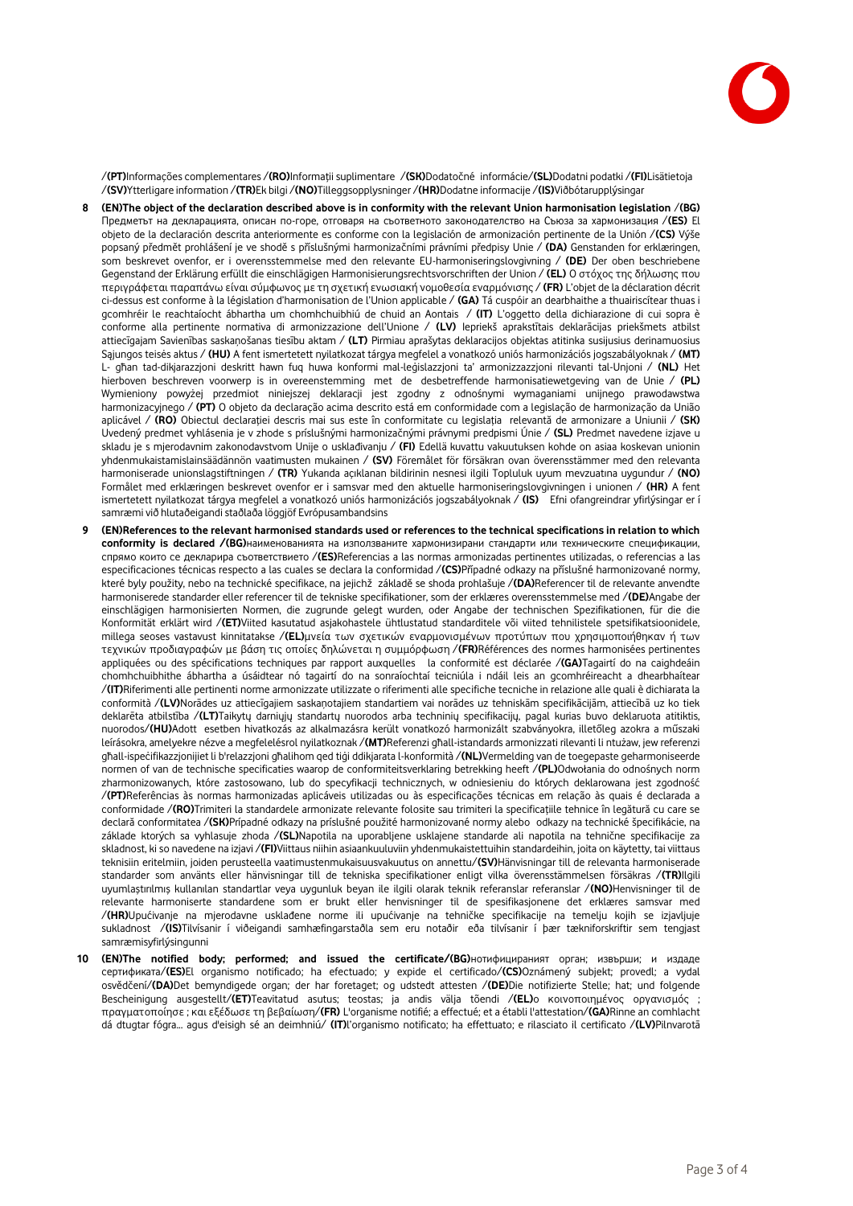

/**(PT)**Informações complementares /**(RO)**Informații suplimentare /**(SK)**Dodatočné informácie/**(SL)**Dodatni podatki /**(FI)**Lisätietoja /**(SV)**Ytterligare information /**(TR)**Ek bilgi /**(NO)**Tilleggsopplysninger /**(HR)**Dodatne informacije /**(IS)**Viðbótarupplýsingar

- **8 (EN)The object of the declaration described above is in conformity with the relevant Union harmonisation legislation** /**(BG)**  Предметът на декларацията, описан по-горе, отговаря на съответното законодателство на Съюза за хармонизация /**(ES)** El objeto de la declaración descrita anteriormente es conforme con la legislación de armonización pertinente de la Unión /**(CS)** Výše popsaný předmět prohlášení je ve shodě s příslušnými harmonizačními právními předpisy Unie / **(DA)** Genstanden for erklæringen, som beskrevet ovenfor, er i overensstemmelse med den relevante EU-harmoniseringslovgivning / **(DE)** Der oben beschriebene Gegenstand der Erklärung erfüllt die einschlägigen Harmonisierungsrechtsvorschriften der Union / **(EL)** Ο στόχος της δήλωσης που περιγράφεται παραπάνω είναι σύμφωνος με τη σχετική ενωσιακή νομοθεσία εναρμόνισης / **(FR)** L'objet de la déclaration décrit ci-dessus est conforme à la législation d'harmonisation de l'Union applicable / **(GA)** Tá cuspóir an dearbhaithe a thuairiscítear thuas i gcomhréir le reachtaíocht ábhartha um chomhchuibhiú de chuid an Aontais / **(IT)** L'oggetto della dichiarazione di cui sopra è conforme alla pertinente normativa di armonizzazione dell'Unione / **(LV)** Iepriekš aprakstītais deklarācijas priekšmets atbilst attiecīgajam Savienības saskaņošanas tiesību aktam / **(LT)** Pirmiau aprašytas deklaracijos objektas atitinka susijusius derinamuosius Sąjungos teisės aktus / **(HU)** A fent ismertetett nyilatkozat tárgya megfelel a vonatkozó uniós harmonizációs jogszabályoknak / **(MT)**  L- għan tad-dikjarazzjoni deskritt hawn fuq huwa konformi mal-leġislazzjoni ta' armonizzazzjoni rilevanti tal-Unjoni / **(NL)** Het hierboven beschreven voorwerp is in overeenstemming met de desbetreffende harmonisatiewetgeving van de Unie / **(PL)**  Wymieniony powyżej przedmiot niniejszej deklaracji jest zgodny z odnośnymi wymaganiami unijnego prawodawstwa harmonizacyjnego / **(PT)** O objeto da declaração acima descrito está em conformidade com a legislação de harmonização da União aplicável / **(RO)** Obiectul declarației descris mai sus este în conformitate cu legislația relevantă de armonizare a Uniunii / **(SK)**  Uvedený predmet vyhlásenia je v zhode s príslušnými harmonizačnými právnymi predpismi Únie / **(SL)** Predmet navedene izjave u skladu je s mjerodavnim zakonodavstvom Unije o usklađivanju / **(FI)** Edellä kuvattu vakuutuksen kohde on asiaa koskevan unionin yhdenmukaistamislainsäädännön vaatimusten mukainen / **(SV)** Föremålet för försäkran ovan överensstämmer med den relevanta harmoniserade unionslagstiftningen / **(TR)** Yukarıda açıklanan bildirinin nesnesi ilgili Topluluk uyum mevzuatına uygundur / **(NO)**  Formålet med erklæringen beskrevet ovenfor er i samsvar med den aktuelle harmoniseringslovgivningen i unionen / **(HR)** A fent ismertetett nyilatkozat tárgya megfelel a vonatkozó uniós harmonizációs jogszabályoknak / **(IS)** Efni ofangreindrar yfirlýsingar er í samræmi við hlutaðeigandi staðlaða löggjöf Evrópusambandsins
- **9 (EN)References to the relevant harmonised standards used or references to the technical specifications in relation to which conformity is declared /(BG)**наименованията на използваните хармонизирани стандарти или техническите спецификации, спрямо които се декларира съответствието /**(ES)**Referencias a las normas armonizadas pertinentes utilizadas, o referencias a las especificaciones técnicas respecto a las cuales se declara la conformidad /**(CS)**Případné odkazy na příslušné harmonizované normy, které byly použity, nebo na technické specifikace, na jejichž základě se shoda prohlašuje /**(DA)**Referencer til de relevante anvendte harmoniserede standarder eller referencer til de tekniske specifikationer, som der erklæres overensstemmelse med /**(DE)**Angabe der einschlägigen harmonisierten Normen, die zugrunde gelegt wurden, oder Angabe der technischen Spezifikationen, für die die Konformität erklärt wird /**(ET)**Viited kasutatud asjakohastele ühtlustatud standarditele või viited tehnilistele spetsifikatsioonidele, millega seoses vastavust kinnitatakse /**(EL)**μνεία των σχετικών εναρμονισμένων προτύπων που χρησιμοποιήθηκαν ή των τεχνικών προδιαγραφών με βάση τις οποίες δηλώνεται η συμμόρφωση /**(FR)**Références des normes harmonisées pertinentes appliquées ou des spécifications techniques par rapport auxquelles la conformité est déclarée /**(GA)**Tagairtí do na caighdeáin chomhchuibhithe ábhartha a úsáidtear nó tagairtí do na sonraíochtaí teicniúla i ndáil leis an gcomhréireacht a dhearbhaítear /**(IT)**Riferimenti alle pertinenti norme armonizzate utilizzate o riferimenti alle specifiche tecniche in relazione alle quali è dichiarata la conformità /**(LV)**Norādes uz attiecīgajiem saskaņotajiem standartiem vai norādes uz tehniskām specifikācijām, attiecībā uz ko tiek deklarēta atbilstība /**(LT)**Taikytų darniųjų standartų nuorodos arba techninių specifikacijų, pagal kurias buvo deklaruota atitiktis, nuorodos/**(HU)**Adott esetben hivatkozás az alkalmazásra került vonatkozó harmonizált szabványokra, illetőleg azokra a műszaki leírásokra, amelyekre nézve a megfelelésrol nyilatkoznak /**(MT)**Referenzi għall-istandards armonizzati rilevanti li ntużaw, jew referenzi għall-ispeċifikazzjonijiet li b'relazzjoni għalihom qed tiġi ddikjarata l-konformità /**(NL)**Vermelding van de toegepaste geharmoniseerde normen of van de technische specificaties waarop de conformiteitsverklaring betrekking heeft /**(PL)**Odwołania do odnośnych norm zharmonizowanych, które zastosowano, lub do specyfikacji technicznych, w odniesieniu do których deklarowana jest zgodność /**(PT)**Referências às normas harmonizadas aplicáveis utilizadas ou às especificações técnicas em relação às quais é declarada a conformidade /**(RO)**Trimiteri la standardele armonizate relevante folosite sau trimiteri la specificațiile tehnice în legătură cu care se declară conformitatea /**(SK)**Prípadné odkazy na príslušné použité harmonizované normy alebo odkazy na technické špecifikácie, na základe ktorých sa vyhlasuje zhoda /**(SL)**Napotila na uporabljene usklajene standarde ali napotila na tehnične specifikacije za skladnost, ki so navedene na izjavi /**(FI)**Viittaus niihin asiaankuuluviin yhdenmukaistettuihin standardeihin, joita on käytetty, tai viittaus teknisiin eritelmiin, joiden perusteella vaatimustenmukaisuusvakuutus on annettu/**(SV)**Hänvisningar till de relevanta harmoniserade standarder som använts eller hänvisningar till de tekniska specifikationer enligt vilka överensstämmelsen försäkras /**(TR)**Ilgili uyumlaştırılmış kullanılan standartlar veya uygunluk beyan ile ilgili olarak teknik referanslar referanslar /**(NO)**Henvisninger til de relevante harmoniserte standardene som er brukt eller henvisninger til de spesifikasjonene det erklæres samsvar med /**(HR)**Upućivanje na mjerodavne usklađene norme ili upućivanje na tehničke specifikacije na temelju kojih se izjavljuje sukladnost /**(IS)**Tilvísanir í viðeigandi samhæfingarstaðla sem eru notaðir eða tilvísanir í þær tækniforskriftir sem tengjast samræmisyfirlýsingunni
- **10 (EN)The notified body; performed; and issued the certificate/(BG)**нотифицираният орган; извърши; и издаде сертификата/**(ES)**El organismo notificado; ha efectuado; y expide el certificado/**(CS)**Oznámený subjekt; provedl; a vydal osvědčení/**(DA)**Det bemyndigede organ; der har foretaget; og udstedt attesten /**(DE)**Die notifizierte Stelle; hat; und folgende Bescheinigung ausgestellt/**(ET)**Teavitatud asutus; teostas; ja andis välja tõendi /**(EL)**ο κοινοποιημένος οργανισμός ; πραγματοποίησε ; και εξέδωσε τη βεβαίωση/**(FR)** L'organisme notifié; a effectué; et a établi l'attestation/**(GA)**Rinne an comhlacht dá dtugtar fógra... agus d'eisigh sé an deimhniú/ **(IT)**l'organismo notificato; ha effettuato; e rilasciato il certificato /**(LV)**Pilnvarotā